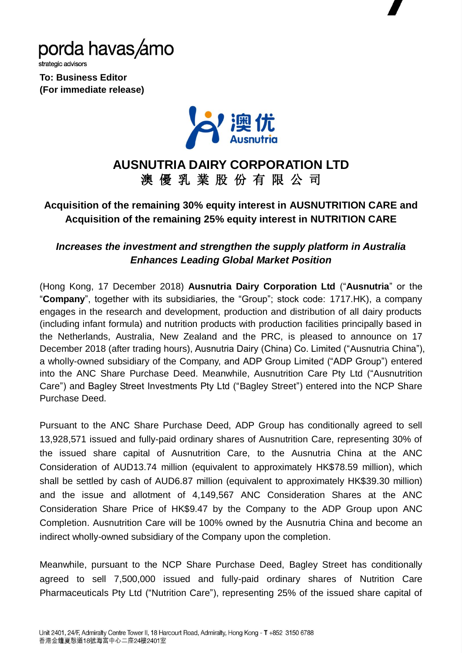

strategic advisors

**To: Business Editor (For immediate release)**



# **AUSNUTRIA DAIRY CORPORATION LTD** 澳 優 乳 業 股 份 有 限 公 司

## **Acquisition of the remaining 30% equity interest in AUSNUTRITION CARE and Acquisition of the remaining 25% equity interest in NUTRITION CARE**

### *Increases the investment and strengthen the supply platform in Australia Enhances Leading Global Market Position*

(Hong Kong, 17 December 2018) **Ausnutria Dairy Corporation Ltd** ("**Ausnutria**" or the "**Company**", together with its subsidiaries, the "Group"; stock code: 1717.HK), a company engages in the research and development, production and distribution of all dairy products (including infant formula) and nutrition products with production facilities principally based in the Netherlands, Australia, New Zealand and the PRC, is pleased to announce on 17 December 2018 (after trading hours), Ausnutria Dairy (China) Co. Limited ("Ausnutria China"), a wholly-owned subsidiary of the Company, and ADP Group Limited ("ADP Group") entered into the ANC Share Purchase Deed. Meanwhile, Ausnutrition Care Pty Ltd ("Ausnutrition Care") and Bagley Street Investments Pty Ltd ("Bagley Street") entered into the NCP Share Purchase Deed.

Pursuant to the ANC Share Purchase Deed, ADP Group has conditionally agreed to sell 13,928,571 issued and fully-paid ordinary shares of Ausnutrition Care, representing 30% of the issued share capital of Ausnutrition Care, to the Ausnutria China at the ANC Consideration of AUD13.74 million (equivalent to approximately HK\$78.59 million), which shall be settled by cash of AUD6.87 million (equivalent to approximately HK\$39.30 million) and the issue and allotment of 4,149,567 ANC Consideration Shares at the ANC Consideration Share Price of HK\$9.47 by the Company to the ADP Group upon ANC Completion. Ausnutrition Care will be 100% owned by the Ausnutria China and become an indirect wholly-owned subsidiary of the Company upon the completion.

Meanwhile, pursuant to the NCP Share Purchase Deed, Bagley Street has conditionally agreed to sell 7,500,000 issued and fully-paid ordinary shares of Nutrition Care Pharmaceuticals Pty Ltd ("Nutrition Care"), representing 25% of the issued share capital of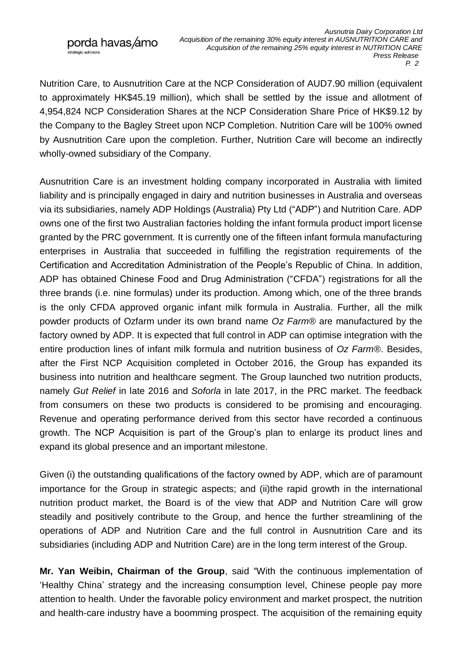rategic advisors

Nutrition Care, to Ausnutrition Care at the NCP Consideration of AUD7.90 million (equivalent to approximately HK\$45.19 million), which shall be settled by the issue and allotment of 4,954,824 NCP Consideration Shares at the NCP Consideration Share Price of HK\$9.12 by the Company to the Bagley Street upon NCP Completion. Nutrition Care will be 100% owned by Ausnutrition Care upon the completion. Further, Nutrition Care will become an indirectly wholly-owned subsidiary of the Company.

Ausnutrition Care is an investment holding company incorporated in Australia with limited liability and is principally engaged in dairy and nutrition businesses in Australia and overseas via its subsidiaries, namely ADP Holdings (Australia) Pty Ltd ("ADP") and Nutrition Care. ADP owns one of the first two Australian factories holding the infant formula product import license granted by the PRC government. It is currently one of the fifteen infant formula manufacturing enterprises in Australia that succeeded in fulfilling the registration requirements of the Certification and Accreditation Administration of the People's Republic of China. In addition, ADP has obtained Chinese Food and Drug Administration ("CFDA") registrations for all the three brands (i.e. nine formulas) under its production. Among which, one of the three brands is the only CFDA approved organic infant milk formula in Australia. Further, all the milk powder products of Ozfarm under its own brand name *Oz Farm®* are manufactured by the factory owned by ADP. It is expected that full control in ADP can optimise integration with the entire production lines of infant milk formula and nutrition business of *Oz Farm®* . Besides, after the First NCP Acquisition completed in October 2016, the Group has expanded its business into nutrition and healthcare segment. The Group launched two nutrition products, namely *Gut Relief* in late 2016 and *Soforla* in late 2017, in the PRC market. The feedback from consumers on these two products is considered to be promising and encouraging. Revenue and operating performance derived from this sector have recorded a continuous growth. The NCP Acquisition is part of the Group's plan to enlarge its product lines and expand its global presence and an important milestone.

Given (i) the outstanding qualifications of the factory owned by ADP, which are of paramount importance for the Group in strategic aspects; and (ii)the rapid growth in the international nutrition product market, the Board is of the view that ADP and Nutrition Care will grow steadily and positively contribute to the Group, and hence the further streamlining of the operations of ADP and Nutrition Care and the full control in Ausnutrition Care and its subsidiaries (including ADP and Nutrition Care) are in the long term interest of the Group.

**Mr. Yan Weibin, Chairman of the Group**, said "With the continuous implementation of 'Healthy China' strategy and the increasing consumption level, Chinese people pay more attention to health. Under the favorable policy environment and market prospect, the nutrition and health-care industry have a boomming prospect. The acquisition of the remaining equity